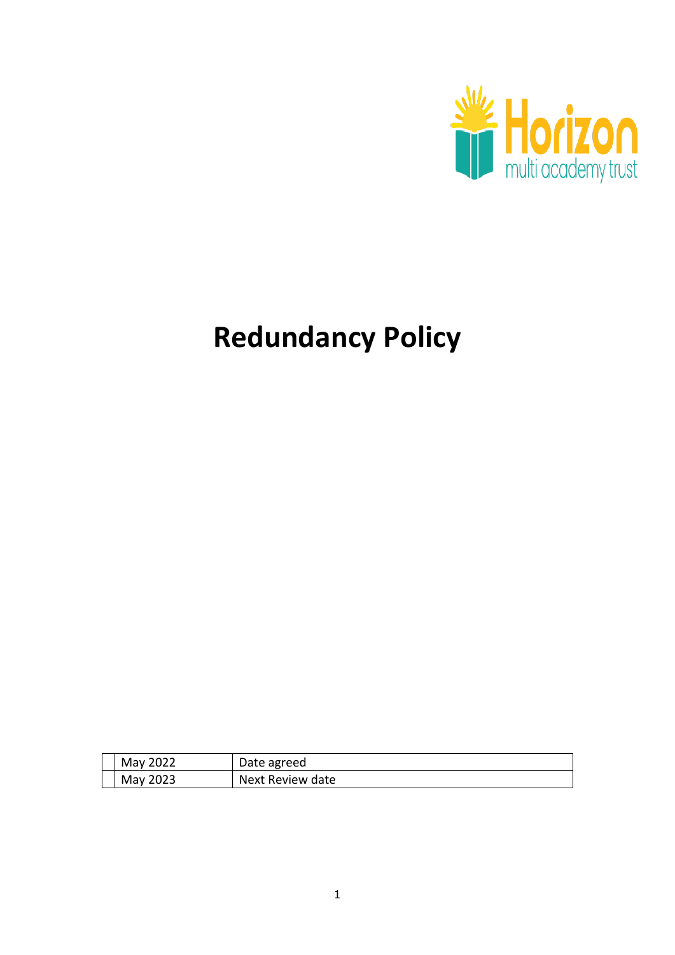

# **Redundancy Policy**

| May 2022 | Date agreed      |
|----------|------------------|
| May 2023 | Next Review date |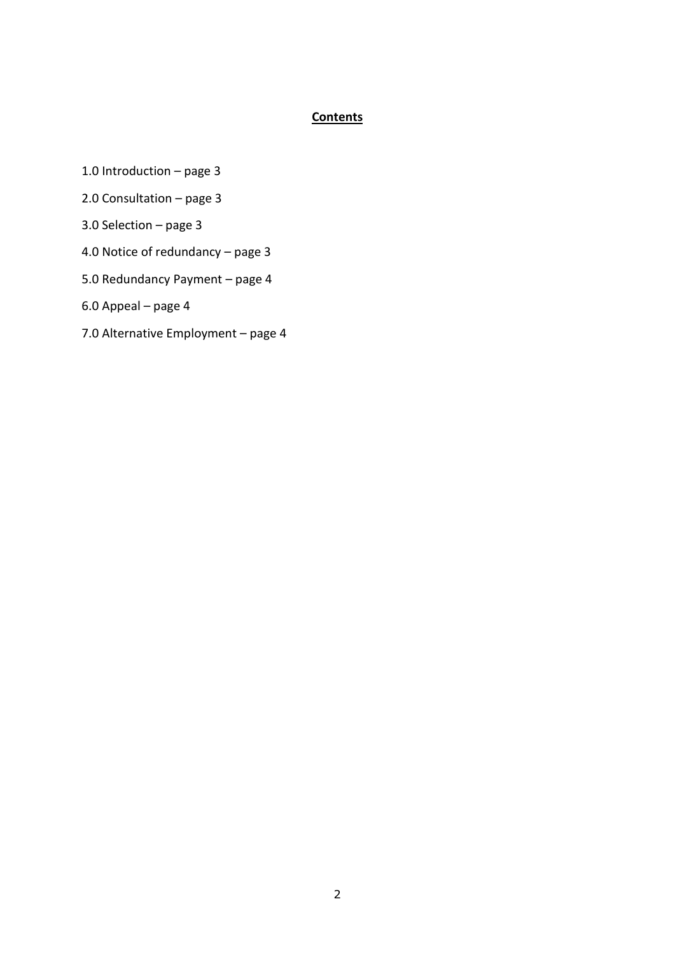# **Contents**

- 1.0 Introduction page 3
- 2.0 Consultation page 3
- 3.0 Selection page 3
- 4.0 Notice of redundancy page 3
- 5.0 Redundancy Payment page 4
- 6.0 Appeal page 4
- 7.0 Alternative Employment page 4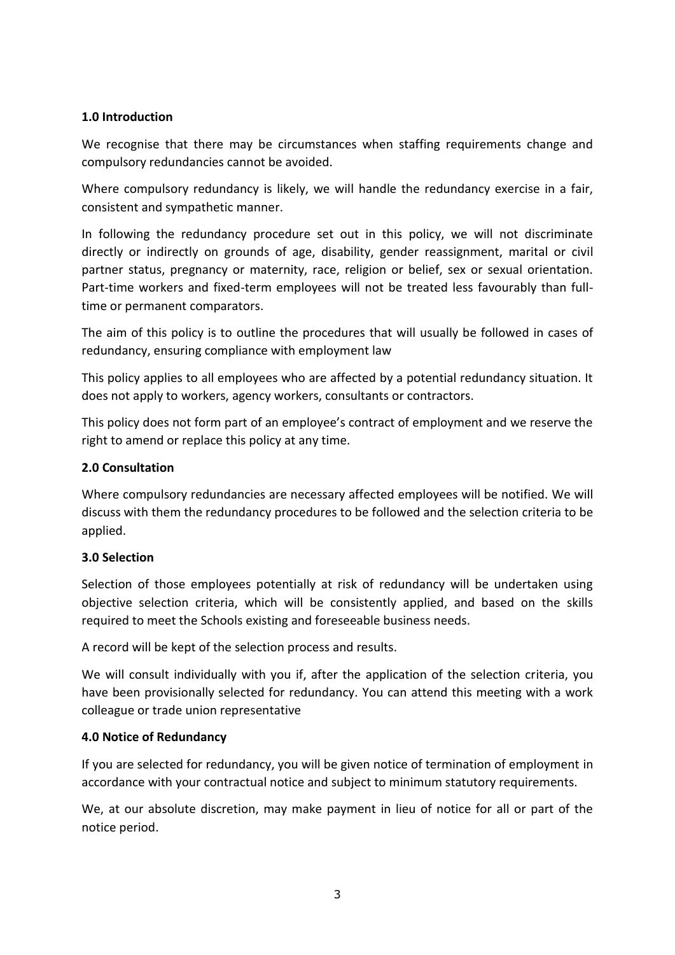#### **1.0 Introduction**

We recognise that there may be circumstances when staffing requirements change and compulsory redundancies cannot be avoided.

Where compulsory redundancy is likely, we will handle the redundancy exercise in a fair, consistent and sympathetic manner.

In following the redundancy procedure set out in this policy, we will not discriminate directly or indirectly on grounds of age, disability, gender reassignment, marital or civil partner status, pregnancy or maternity, race, religion or belief, sex or sexual orientation. Part-time workers and fixed-term employees will not be treated less favourably than fulltime or permanent comparators.

The aim of this policy is to outline the procedures that will usually be followed in cases of redundancy, ensuring compliance with employment law

This policy applies to all employees who are affected by a potential redundancy situation. It does not apply to workers, agency workers, consultants or contractors.

This policy does not form part of an employee's contract of employment and we reserve the right to amend or replace this policy at any time.

#### **2.0 Consultation**

Where compulsory redundancies are necessary affected employees will be notified. We will discuss with them the redundancy procedures to be followed and the selection criteria to be applied.

#### **3.0 Selection**

Selection of those employees potentially at risk of redundancy will be undertaken using objective selection criteria, which will be consistently applied, and based on the skills required to meet the Schools existing and foreseeable business needs.

A record will be kept of the selection process and results.

We will consult individually with you if, after the application of the selection criteria, you have been provisionally selected for redundancy. You can attend this meeting with a work colleague or trade union representative

#### **4.0 Notice of Redundancy**

If you are selected for redundancy, you will be given notice of termination of employment in accordance with your contractual notice and subject to minimum statutory requirements.

We, at our absolute discretion, may make payment in lieu of notice for all or part of the notice period.